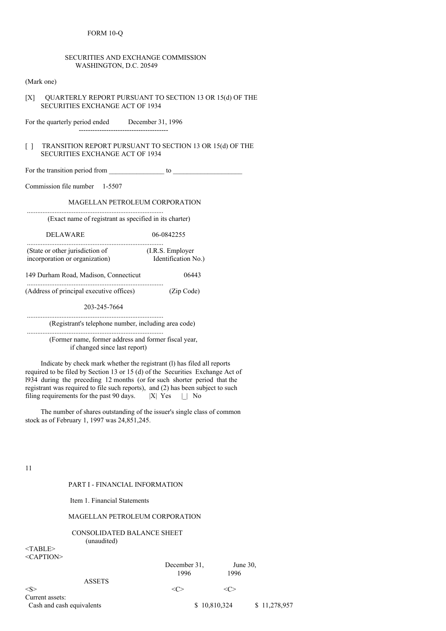# FORM 10-Q

| <b>SECURITIES AND EXCHANGE COMMISSION</b><br>WASHINGTON, D.C. 20549                                          |                                                         |
|--------------------------------------------------------------------------------------------------------------|---------------------------------------------------------|
| (Mark one)                                                                                                   |                                                         |
| [X]<br><b>SECURITIES EXCHANGE ACT OF 1934</b>                                                                | QUARTERLY REPORT PURSUANT TO SECTION 13 OR 15(d) OF THE |
| For the quarterly period ended December 31, 1996                                                             |                                                         |
| TRANSITION REPORT PURSUANT TO SECTION 13 OR 15(d) OF THE<br>$\Box$<br><b>SECURITIES EXCHANGE ACT OF 1934</b> |                                                         |
|                                                                                                              |                                                         |
| Commission file number 1-5507                                                                                |                                                         |
| <b>MAGELLAN PETROLEUM CORPORATION</b>                                                                        |                                                         |
| (Exact name of registrant as specified in its charter)                                                       |                                                         |
| <b>DELAWARE</b>                                                                                              | 06-0842255                                              |
| (State or other jurisdiction of (I.R.S. Employer<br>incorporation or organization) Identification No.)       |                                                         |
| 149 Durham Road, Madison, Connecticut                                                                        | 06443                                                   |
| (Address of principal executive offices) (Zip Code)                                                          |                                                         |
| 203-245-7664                                                                                                 |                                                         |
| (Registrant's telephone number, including area code)                                                         |                                                         |
| (Former name, former address and former fiscal year,<br>if changed since last report)                        |                                                         |
| Indicate by check mark whether the registrant (1) has filed all reports                                      |                                                         |

required to be filed by Section 13 or 15 (d) of the Securities Exchange Act of l934 during the preceding 12 months (or for such shorter period that the registrant was required to file such reports), and (2) has been subject to such filing requirements for the past 90 days.  $|X|$  Yes  $| \_ |$  No

The number of shares outstanding of the issuer's single class of common stock as of February 1, 1997 was 24,851,245.

11

## PART I - FINANCIAL INFORMATION

Item 1. Financial Statements

## MAGELLAN PETROLEUM CORPORATION

## CONSOLIDATED BALANCE SHEET (unaudited)

<TABLE> <CAPTION>

| $\sim$ AI 11917           | December 31, | June $30$ ,   |              |
|---------------------------|--------------|---------------|--------------|
| <b>ASSETS</b>             | 1996         | 1996          |              |
| $<\!S>$                   |              | $\leq$ 1. $>$ |              |
| Current assets:           |              |               |              |
| Cash and cash equivalents |              | \$10,810,324  | \$11,278,957 |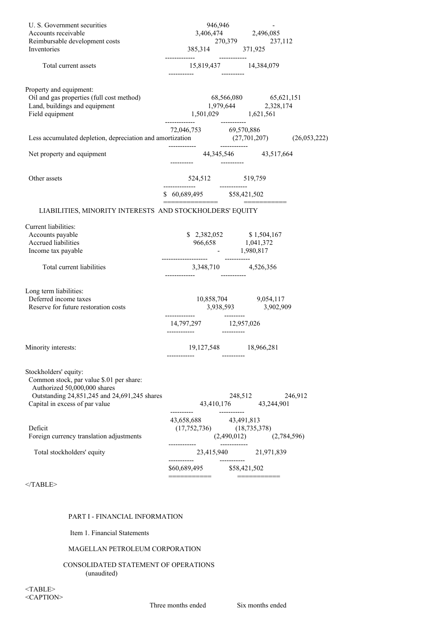| U. S. Government securities                                                                                                                     |                                                                                                                       |              | 946,946                     |         |
|-------------------------------------------------------------------------------------------------------------------------------------------------|-----------------------------------------------------------------------------------------------------------------------|--------------|-----------------------------|---------|
| Accounts receivable                                                                                                                             |                                                                                                                       |              | 3,406,474 2,496,085         |         |
| Reimbursable development costs                                                                                                                  |                                                                                                                       |              |                             |         |
| Inventories                                                                                                                                     |                                                                                                                       |              |                             |         |
| Total current assets                                                                                                                            | $15,819,437 \atop \rule{20mm}{0.4cm} 14,384,079$                                                                      |              |                             |         |
| Property and equipment:                                                                                                                         |                                                                                                                       |              |                             |         |
| Oil and gas properties (full cost method)                                                                                                       |                                                                                                                       |              |                             |         |
| Land, buildings and equipment                                                                                                                   |                                                                                                                       |              |                             |         |
| Field equipment                                                                                                                                 | $\begin{array}{ccc} 68,566,080 & 65,621,151 \\ 1,979,644 & 2,328,174 \\ 1,501,029 & 1,621,561 \end{array}$            |              |                             |         |
|                                                                                                                                                 | 72,046,753 69,570,886                                                                                                 |              |                             |         |
|                                                                                                                                                 |                                                                                                                       |              |                             |         |
| Less accumulated depletion, depreciation and amortization $(27,701,207)$ $(26,053,222)$<br>Net property and equipment $44,345,546$ $43,517,664$ |                                                                                                                       |              |                             |         |
| Other assets                                                                                                                                    |                                                                                                                       |              |                             |         |
|                                                                                                                                                 | $$60,689,495$ $$58,421,502$                                                                                           |              |                             |         |
| LIABILITIES, MINORITY INTERESTS AND STOCKHOLDERS' EQUITY                                                                                        |                                                                                                                       |              |                             |         |
|                                                                                                                                                 |                                                                                                                       |              |                             |         |
| Current liabilities:                                                                                                                            |                                                                                                                       |              |                             |         |
| Accounts payable<br>Accrued liabilities                                                                                                         | $\begin{array}{cc} $ & 2,382,052 \ 966,658 \ \end{array}$ $\begin{array}{cc} $ & 1,504,167 \ 1,041,372 \ \end{array}$ |              |                             |         |
|                                                                                                                                                 |                                                                                                                       |              |                             |         |
| Income tax payable                                                                                                                              | $-1,980,817$                                                                                                          |              |                             |         |
| Total current liabilities                                                                                                                       | 3,348,710 4,526,356                                                                                                   |              |                             |         |
|                                                                                                                                                 |                                                                                                                       |              |                             |         |
| Long term liabilities:                                                                                                                          |                                                                                                                       |              |                             |         |
| Deferred income taxes                                                                                                                           | $\begin{array}{cc} 10{,}858{,}704 & 9{,}054{,}117 \\ 3{,}938{,}593 & 3{,}902{,}909 \end{array}$                       |              |                             |         |
| Reserve for future restoration costs                                                                                                            |                                                                                                                       |              |                             |         |
|                                                                                                                                                 |                                                                                                                       |              |                             |         |
| Minority interests:                                                                                                                             | 19,127,548 18,966,281                                                                                                 |              |                             |         |
|                                                                                                                                                 |                                                                                                                       |              |                             |         |
| Stockholders' equity:<br>Common stock, par value \$.01 per share:<br>Authorized 50,000,000 shares                                               |                                                                                                                       |              |                             |         |
| Outstanding 24,851,245 and 24,691,245 shares                                                                                                    |                                                                                                                       |              | 248,512                     | 246,912 |
| Capital in excess of par value                                                                                                                  | -----------                                                                                                           | ------------ | 43,410,176 43,244,901       |         |
|                                                                                                                                                 | 43,658,688 43,491,813                                                                                                 |              |                             |         |
| Deficit                                                                                                                                         | $(17,752,736)$ $(18,735,378)$                                                                                         |              |                             |         |
| Foreign currency translation adjustments                                                                                                        |                                                                                                                       |              | $(2,490,012)$ $(2,784,596)$ |         |
| Total stockholders' equity                                                                                                                      |                                                                                                                       |              | 23,415,940 21,971,839       |         |
|                                                                                                                                                 | ------------<br>\$60,689,495 \$58,421,502                                                                             |              |                             |         |
| $<$ TABLE>                                                                                                                                      | -----------                                                                                                           |              | ===========                 |         |
|                                                                                                                                                 |                                                                                                                       |              |                             |         |

# PART I - FINANCIAL INFORMATION

Item 1. Financial Statements

# MAGELLAN PETROLEUM CORPORATION

#### CONSOLIDATED STATEMENT OF OPERATIONS (unaudited)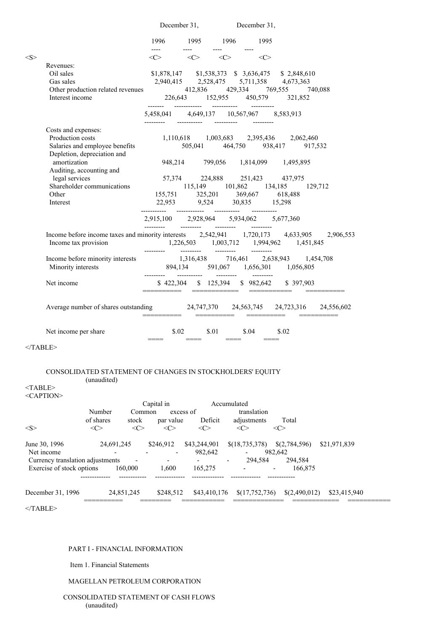|                                                                                                                                                                                                          |                                                                                                                                            | December 31, December 31,                                           |                     |                                                                                                                                                        |  |
|----------------------------------------------------------------------------------------------------------------------------------------------------------------------------------------------------------|--------------------------------------------------------------------------------------------------------------------------------------------|---------------------------------------------------------------------|---------------------|--------------------------------------------------------------------------------------------------------------------------------------------------------|--|
|                                                                                                                                                                                                          | 1996 1995 1996 1995                                                                                                                        |                                                                     |                     |                                                                                                                                                        |  |
|                                                                                                                                                                                                          | $\begin{array}{ccc} \texttt{---} & \texttt{---} & \texttt{---} \end{array}$<br>$\langle C \rangle$ $\langle C \rangle$ $\langle C \rangle$ | $\frac{1}{2}$ and $\frac{1}{2}$ and $\frac{1}{2}$ and $\frac{1}{2}$ | $\langle C \rangle$ |                                                                                                                                                        |  |
| Revenues:                                                                                                                                                                                                |                                                                                                                                            |                                                                     |                     |                                                                                                                                                        |  |
| Oil sales<br>Gas sales                                                                                                                                                                                   |                                                                                                                                            |                                                                     |                     | $\begin{array}{cccccc} \$1,878,147 & & \$1,538,373 & \$& 3,636,475 & \$& 2,848,610 \\ 2,940,415 & & 2,528,475 & & 5,711,358 & & 4,673,363 \end{array}$ |  |
|                                                                                                                                                                                                          |                                                                                                                                            |                                                                     |                     |                                                                                                                                                        |  |
| Other production related revenues<br>112,836<br>226,643<br>152,955<br>429,334<br>769,555<br>740,088<br>152,955<br>321,852                                                                                |                                                                                                                                            |                                                                     |                     |                                                                                                                                                        |  |
|                                                                                                                                                                                                          | 5,458,041 4,649,137 10,567,967 8,583,913                                                                                                   |                                                                     |                     |                                                                                                                                                        |  |
| Costs and expenses:                                                                                                                                                                                      |                                                                                                                                            |                                                                     |                     |                                                                                                                                                        |  |
| Production costs                                                                                                                                                                                         |                                                                                                                                            |                                                                     |                     | 1,110,618 1,003,683 2,395,436 2,062,460                                                                                                                |  |
| Salaries and employee benefits<br>Depletion, depreciation and                                                                                                                                            |                                                                                                                                            |                                                                     |                     | 505,041 464,750 938,417 917,532                                                                                                                        |  |
| amortization                                                                                                                                                                                             |                                                                                                                                            |                                                                     |                     | 948,214 799,056 1,814,099 1,495,895                                                                                                                    |  |
| Auditing, accounting and                                                                                                                                                                                 |                                                                                                                                            |                                                                     |                     |                                                                                                                                                        |  |
| legal services                                                                                                                                                                                           |                                                                                                                                            |                                                                     |                     | 57,374 224,888 251,423 437,975                                                                                                                         |  |
| Shareholder communications                                                                                                                                                                               |                                                                                                                                            |                                                                     |                     |                                                                                                                                                        |  |
| Other<br>Interest                                                                                                                                                                                        |                                                                                                                                            |                                                                     |                     | $115,149$ $101,862$ $134,185$ $129,712$<br>155,751 325,201 369,667 618,488<br>22,953 9,524 30,835 15,298                                               |  |
|                                                                                                                                                                                                          |                                                                                                                                            |                                                                     |                     |                                                                                                                                                        |  |
|                                                                                                                                                                                                          | $2{,}915{,}100 \qquad 2{,}928{,}964 \qquad 5{,}934{,}062 \qquad 5{,}677{,}360$                                                             |                                                                     |                     |                                                                                                                                                        |  |
| Income before income taxes and minority interests 2,542,941 1,720,173 4,633,905 2,906,553<br>Income tax provision                                                                                        |                                                                                                                                            |                                                                     |                     |                                                                                                                                                        |  |
| Income before minority interests<br>Minority interests<br>$894,134$<br>$591,067$<br>$1,456,301$<br>$1,454,708$<br>$1,454,708$<br>$1,454,708$<br>$1,454,708$<br>$1,454,708$<br>$1,454,708$<br>$1,454,708$ |                                                                                                                                            |                                                                     |                     |                                                                                                                                                        |  |
| Net income                                                                                                                                                                                               |                                                                                                                                            |                                                                     |                     | \$422,304 \$125,394 \$982,642 \$397,903                                                                                                                |  |
| Average number of shares outstanding 24,747,370 24,563,745 24,723,316 24,556,602                                                                                                                         |                                                                                                                                            |                                                                     |                     |                                                                                                                                                        |  |
| Net income per share                                                                                                                                                                                     |                                                                                                                                            | $$.02$ $$.01$ $$.04$ $$.02$                                         |                     |                                                                                                                                                        |  |

 $<$  /TABLE>  $\,$ 

# CONSOLIDATED STATEMENT OF CHANGES IN STOCKHOLDERS' EQUITY (unaudited)

#### <TABLE>  $CAP$ TION<sup>®</sup>

| $\le$ CAPTION $\ge$ |  |  |
|---------------------|--|--|
|                     |  |  |

|                                  |              |                                                                                                                                        | Capital in          |                          | Accumulated      |               |              |
|----------------------------------|--------------|----------------------------------------------------------------------------------------------------------------------------------------|---------------------|--------------------------|------------------|---------------|--------------|
|                                  | Number       | Common                                                                                                                                 | excess of           |                          | translation      |               |              |
|                                  | of shares    | stock                                                                                                                                  | par value           | Deficit                  | adjustments      | Total         |              |
| $<\!S>$                          | <<>          | <c< th=""><th><math>\langle C \rangle</math></th><th><math>\langle C \rangle</math></th><th><c></c></th><th><c></c></th><th></th></c<> | $\langle C \rangle$ | $\langle C \rangle$      | <c></c>          | <c></c>       |              |
| June 30, 1996                    | 24,691,245   |                                                                                                                                        | \$246,912           | \$43,244,901             | \$(18, 735, 378) | \$(2,784,596) | \$21,971,839 |
| Net income                       |              |                                                                                                                                        |                     | 982,642                  |                  | 982.642       |              |
| Currency translation adjustments |              |                                                                                                                                        |                     | $\overline{\phantom{0}}$ | 294.584<br>-     | 294,584       |              |
| Exercise of stock options        |              | 160,000                                                                                                                                | 1.600               | 165,275                  |                  | 166,875       |              |
|                                  |              |                                                                                                                                        |                     |                          |                  |               |              |
| December 31, 1996                | ____________ | 24,851,245                                                                                                                             | \$248,512           | \$43,410,176             | \$(17,752,736)   | \$(2,490,012) | \$23,415,940 |

 $<$ /TABLE>

## PART I - FINANCIAL INFORMATION

Item 1. Financial Statements

# MAGELLAN PETROLEUM CORPORATION

# CONSOLIDATED STATEMENT OF CASH FLOWS (unaudited)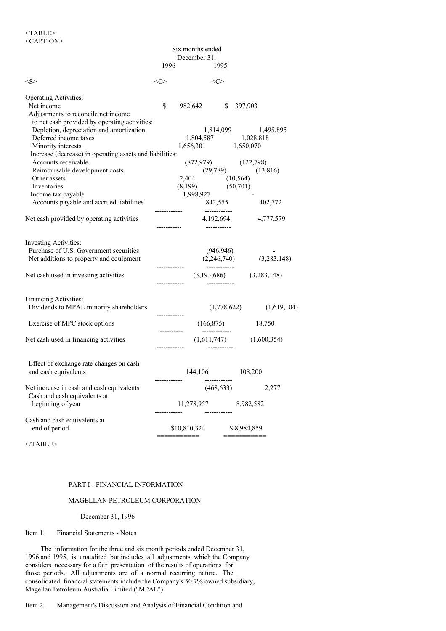|                                                                                                    |              | Six months ended                                   |                                              |
|----------------------------------------------------------------------------------------------------|--------------|----------------------------------------------------|----------------------------------------------|
|                                                                                                    |              | December 31,                                       |                                              |
|                                                                                                    | 1996         | 1995                                               |                                              |
| <s></s>                                                                                            | <<>          | $\langle C \rangle$                                |                                              |
| <b>Operating Activities:</b>                                                                       |              |                                                    |                                              |
| Net income<br>Adjustments to reconcile net income<br>to net cash provided by operating activities: | \$           | 982,642 \$ 397,903                                 |                                              |
| Depletion, depreciation and amortization<br>Deferred income taxes<br>Minority interests            |              | $1,804,587$ $1,028,818$<br>$1,656,301$ $1,650,070$ | 1,814,099 1,495,895                          |
| Increase (decrease) in operating assets and liabilities:                                           |              |                                                    |                                              |
| Accounts receivable<br>Reimbursable development costs                                              |              |                                                    | $(872,979)$ $(122,798)$ $(13,816)$           |
| Other assets                                                                                       |              | 2,404 (10,564)                                     |                                              |
| Inventories<br>Income tax payable                                                                  |              | $(8,199)$ $(50,701)$<br>1,998,927                  |                                              |
| Accounts payable and accrued liabilities                                                           |              | 842,555<br>-------------                           | 402,772                                      |
| Net cash provided by operating activities                                                          |              |                                                    | 4,192,694 4,777,579                          |
| <b>Investing Activities:</b>                                                                       |              |                                                    |                                              |
| Purchase of U.S. Government securities                                                             |              | (946, 946)                                         | $(946,946)$ -<br>$(2,246,740)$ $(3,283,148)$ |
| Net additions to property and equipment                                                            | ------------ |                                                    |                                              |
| Net cash used in investing activities                                                              |              |                                                    | $(3,193,686)$ $(3,283,148)$                  |
| <b>Financing Activities:</b>                                                                       |              |                                                    |                                              |
| Dividends to MPAL minority shareholders                                                            |              |                                                    | (1,619,104)<br>(1,778,622)                   |
| Exercise of MPC stock options                                                                      |              |                                                    | $(166,875)$ 18,750                           |
| Net cash used in financing activities                                                              |              |                                                    | $(1,611,747)$ $(1,600,354)$                  |
| Effect of exchange rate changes on cash<br>and cash equivalents                                    |              | 144,106 108,200                                    |                                              |
| Net increase in cash and cash equivalents<br>Cash and cash equivalents at                          |              | (468, 633)                                         | 2,277                                        |
| beginning of year                                                                                  |              | 11,278,957                                         | 8,982,582                                    |
| Cash and cash equivalents at<br>end of period                                                      |              | \$10,810,324                                       | \$8,984,859                                  |
|                                                                                                    |              | ===========                                        |                                              |

 $<$ /TABLE>

# PART I - FINANCIAL INFORMATION

## MAGELLAN PETROLEUM CORPORATION

#### December 31, 1996

## Item 1. Financial Statements - Notes

The information for the three and six month periods ended December 31, 1996 and 1995, is unaudited but includes all adjustments which the Company considers necessary for a fair presentation of the results of operations for those periods. All adjustments are of a normal recurring nature. The consolidated financial statements include the Company's 50.7% owned subsidiary, Magellan Petroleum Australia Limited ("MPAL").

Item 2. Management's Discussion and Analysis of Financial Condition and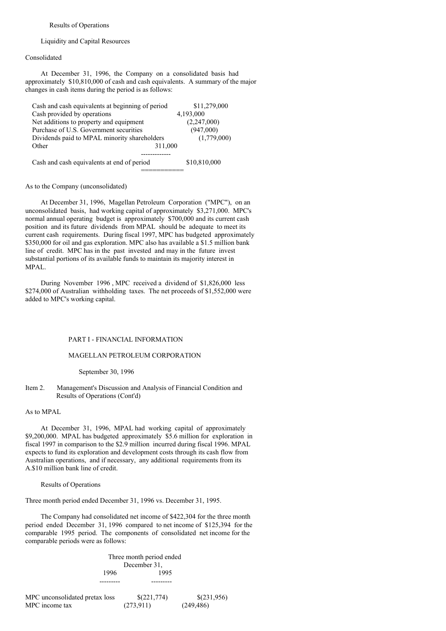#### Results of Operations

Liquidity and Capital Resources

## Consolidated

At December 31, 1996, the Company on a consolidated basis had approximately \$10,810,000 of cash and cash equivalents. A summary of the major changes in cash items during the period is as follows:

| Cash and cash equivalents at beginning of period | \$11,279,000 |
|--------------------------------------------------|--------------|
| Cash provided by operations                      | 4,193,000    |
| Net additions to property and equipment          | (2,247,000)  |
| Purchase of U.S. Government securities           | (947,000)    |
| Dividends paid to MPAL minority shareholders     | (1,779,000)  |
| Other<br>311,000                                 |              |
|                                                  |              |
| Cash and cash equivalents at end of period       | \$10,810,000 |
|                                                  |              |

#### As to the Company (unconsolidated)

At December 31, 1996, Magellan Petroleum Corporation ("MPC"), on an unconsolidated basis, had working capital of approximately \$3,271,000. MPC's normal annual operating budget is approximately \$700,000 and its current cash position and its future dividends from MPAL should be adequate to meet its current cash requirements. During fiscal 1997, MPC has budgeted approximately \$350,000 for oil and gas exploration. MPC also has available a \$1.5 million bank line of credit. MPC has in the past invested and may in the future invest substantial portions of its available funds to maintain its majority interest in MPAL.

During November 1996 , MPC received a dividend of \$1,826,000 less \$274,000 of Australian withholding taxes. The net proceeds of \$1,552,000 were added to MPC's working capital.

## PART I - FINANCIAL INFORMATION

#### MAGELLAN PETROLEUM CORPORATION

September 30, 1996

## Item 2. Management's Discussion and Analysis of Financial Condition and Results of Operations (Cont'd)

#### As to MPAL

At December 31, 1996, MPAL had working capital of approximately \$9,200,000. MPAL has budgeted approximately \$5.6 million for exploration in fiscal 1997 in comparison to the \$2.9 million incurred during fiscal 1996. MPAL expects to fund its exploration and development costs through its cash flow from Australian operations, and if necessary, any additional requirements from its A.\$10 million bank line of credit.

#### Results of Operations

Three month period ended December 31, 1996 vs. December 31, 1995.

The Company had consolidated net income of \$422,304 for the three month period ended December 31, 1996 compared to net income of \$125,394 for the comparable 1995 period. The components of consolidated net income for the comparable periods were as follows:

> Three month period ended December 31, 1996 1995 --------- ---------

| MPC unconsolidated pretax loss | \$(221,774) | \$(231,956) |
|--------------------------------|-------------|-------------|
| MPC income tax                 | (273,911)   | (249, 486)  |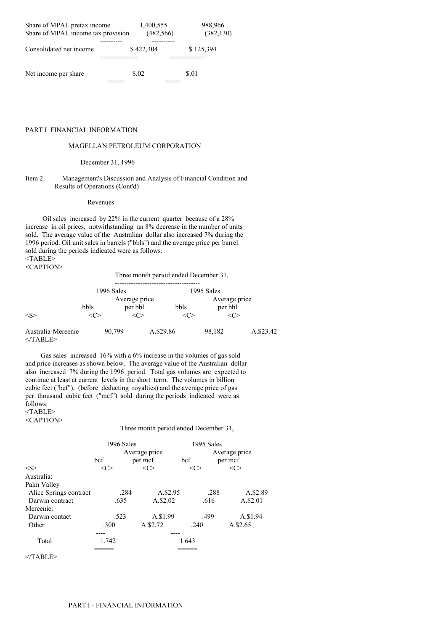| Share of MPAL pretax income<br>Share of MPAL income tax provision | 1,400,555<br>(482, 566) | 988,966<br>(382, 130) |  |
|-------------------------------------------------------------------|-------------------------|-----------------------|--|
| Consolidated net income                                           | \$422,304               | \$125,394             |  |
| Net income per share                                              | \$.02                   | \$.01                 |  |

## PART I FINANCIAL INFORMATION

## MAGELLAN PETROLEUM CORPORATION

#### December 31, 1996

#### Item 2. Management's Discussion and Analysis of Financial Condition and Results of Operations (Cont'd)

#### Revenues

Oil sales increased by 22% in the current quarter because of a 28% increase in oil prices, notwithstanding an 8% decrease in the number of units sold. The average value of the Australian dollar also increased 7% during the 1996 period. Oil unit sales in barrels ("bbls") and the average price per barrel sold during the periods indicated were as follows: <TABLE> <CAPTION>

|                                  | Three month period ended December 31, |                          |           |      |                          |           |
|----------------------------------|---------------------------------------|--------------------------|-----------|------|--------------------------|-----------|
|                                  | 1996 Sales                            |                          |           |      | 1995 Sales               |           |
| $<\!\!S\!\!>$                    | bbls                                  | Average price<br>per bbl |           | bbls | Average price<br>per bbl |           |
| Australia-Mereenie<br>$<$ TABLE> |                                       | 90,799                   | A.\$29.86 |      | 98,182                   | A.\$23.42 |

Gas sales increased 16% with a 6% increase in the volumes of gas sold and price increases as shown below. The average value of the Australian dollar also increased 7% during the 1996 period. Total gas volumes are expected to continue at least at current levels in the short term. The volumes in billion cubic feet ("bcf"), (before deducting royalties) and the average price of gas per thousand cubic feet ("mcf") sold during the periods indicated were as follows: <TABLE>

<CAPTION>

## Three month period ended December 31,

|                        | 1996 Sales<br>Average price<br>bcf<br>per mcf |               | 1995 Sales<br>bcf | Average price<br>per mcf |
|------------------------|-----------------------------------------------|---------------|-------------------|--------------------------|
| < S >                  | <<>                                           | $<\!\!C\!\!>$ | <( ∕              | <c></c>                  |
| Australia:             |                                               |               |                   |                          |
| Palm Valley            |                                               |               |                   |                          |
| Alice Springs contract | .284                                          | A.\$2.95      | .288              | A.\$2.89                 |
| Darwin contract        | .635                                          | A.\$2.02      | .616              | A.\$2.01                 |
| Mereenie:              |                                               |               |                   |                          |
| Darwin contact         | .523                                          | A.\$1.99      | .499              | A.\$1.94                 |
| Other                  | .300                                          | A.\$2.72      | .240              | A.\$2.65                 |
|                        |                                               |               |                   |                          |
| Total                  | 1.742                                         |               | 1.643             |                          |
|                        |                                               |               |                   |                          |

 $<$ /TABLE>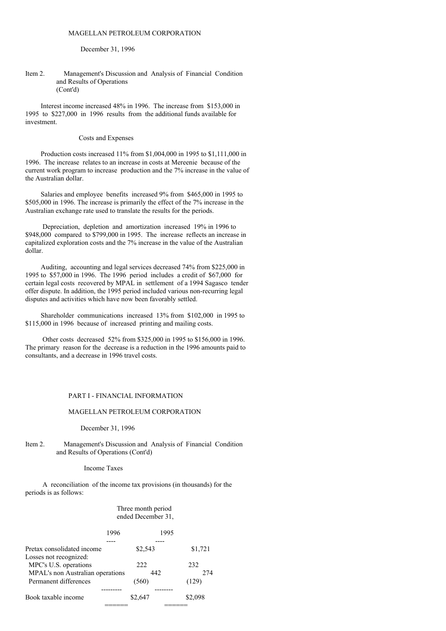#### December 31, 1996

#### Item 2. Management's Discussion and Analysis of Financial Condition and Results of Operations (Cont'd)

Interest income increased 48% in 1996. The increase from \$153,000 in 1995 to \$227,000 in 1996 results from the additional funds available for investment.

#### Costs and Expenses

Production costs increased 11% from \$1,004,000 in 1995 to \$1,111,000 in 1996. The increase relates to an increase in costs at Mereenie because of the current work program to increase production and the 7% increase in the value of the Australian dollar.

Salaries and employee benefits increased 9% from \$465,000 in 1995 to \$505,000 in 1996. The increase is primarily the effect of the 7% increase in the Australian exchange rate used to translate the results for the periods.

Depreciation, depletion and amortization increased 19% in 1996 to \$948,000 compared to \$799,000 in 1995. The increase reflects an increase in capitalized exploration costs and the 7% increase in the value of the Australian dollar.

Auditing, accounting and legal services decreased 74% from \$225,000 in 1995 to \$57,000 in 1996. The 1996 period includes a credit of \$67,000 for certain legal costs recovered by MPAL in settlement of a 1994 Sagasco tender offer dispute. In addition, the 1995 period included various non-recurring legal disputes and activities which have now been favorably settled.

Shareholder communications increased 13% from \$102,000 in 1995 to \$115,000 in 1996 because of increased printing and mailing costs.

Other costs decreased 52% from \$325,000 in 1995 to \$156,000 in 1996. The primary reason for the decrease is a reduction in the 1996 amounts paid to consultants, and a decrease in 1996 travel costs.

#### PART I - FINANCIAL INFORMATION

#### MAGELLAN PETROLEUM CORPORATION

#### December 31, 1996

#### Item 2. Management's Discussion and Analysis of Financial Condition and Results of Operations (Cont'd)

#### Income Taxes

A reconciliation of the income tax provisions (in thousands) for the periods is as follows:

## Three month period ended December 31,

|                                  | 1996 |         | 1995    |         |
|----------------------------------|------|---------|---------|---------|
|                                  |      |         |         |         |
| Pretax consolidated income       |      | \$2,543 |         | \$1,721 |
| Losses not recognized:           |      |         |         |         |
| MPC's U.S. operations            |      | 222     | 232     |         |
| MPAL's non Australian operations |      | 442     |         | 274     |
| Permanent differences            |      | (560)   | (129)   |         |
|                                  |      |         |         |         |
| Book taxable income              |      | \$2,647 | \$2.098 |         |
|                                  |      |         |         |         |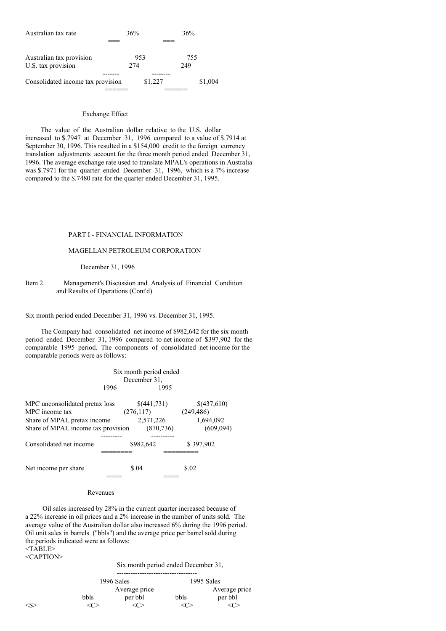| Australian tax rate               | 36%  |         | 36%     |
|-----------------------------------|------|---------|---------|
|                                   |      |         |         |
| Australian tax provision          |      | 953     | 755     |
| U.S. tax provision                | 2.74 |         | 249     |
|                                   |      |         |         |
| Consolidated income tax provision |      | \$1,227 | \$1,004 |
|                                   |      |         |         |

## Exchange Effect

The value of the Australian dollar relative to the U.S. dollar increased to \$.7947 at December 31, 1996 compared to a value of \$.7914 at September 30, 1996. This resulted in a \$154,000 credit to the foreign currency translation adjustments account for the three month period ended December 31, 1996. The average exchange rate used to translate MPAL's operations in Australia was \$.7971 for the quarter ended December 31, 1996, which is a 7% increase compared to the \$.7480 rate for the quarter ended December 31, 1995.

## PART I - FINANCIAL INFORMATION

# MAGELLAN PETROLEUM CORPORATION

#### December 31, 1996

## Item 2. Management's Discussion and Analysis of Financial Condition and Results of Operations (Cont'd)

Six month period ended December 31, 1996 vs. December 31, 1995.

The Company had consolidated net income of \$982,642 for the six month period ended December 31, 1996 compared to net income of \$397,902 for the comparable 1995 period. The components of consolidated net income for the comparable periods were as follows:

|                                                                                                                       | 1996 | Six month period ended<br>December 31.              | 1995 |                                                     |
|-----------------------------------------------------------------------------------------------------------------------|------|-----------------------------------------------------|------|-----------------------------------------------------|
| MPC unconsolidated pretax loss<br>MPC income tax<br>Share of MPAL pretax income<br>Share of MPAL income tax provision |      | \$(441,731)<br>(276, 117)<br>2,571,226<br>(870.736) |      | \$(437,610)<br>(249, 486)<br>1,694,092<br>(609,094) |
| Consolidated net income                                                                                               |      | \$982,642                                           |      | \$397,902                                           |
| Net income per share                                                                                                  |      | \$.04                                               |      | \$.02                                               |

#### Revenues

Oil sales increased by 28% in the current quarter increased because of a 22% increase in oil prices and a 2% increase in the number of units sold. The average value of the Australian dollar also increased 6% during the 1996 period. Oil unit sales in barrels ("bbls") and the average price per barrel sold during the periods indicated were as follows: <TABLE>

<CAPTION>

Six month period ended December 31,

|      | 1996 Sales    |      | 1995 Sales    |
|------|---------------|------|---------------|
|      | Average price |      | Average price |
| bbls | per bbl       | bbls | per bbl       |
|      |               |      |               |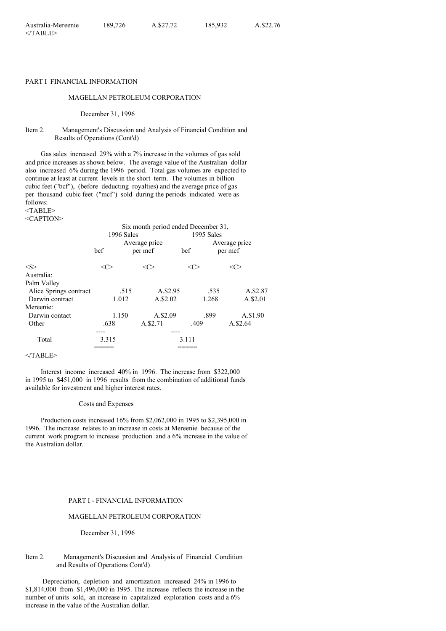## PART I FINANCIAL INFORMATION

## MAGELLAN PETROLEUM CORPORATION

December 31, 1996

## Item 2. Management's Discussion and Analysis of Financial Condition and Results of Operations (Cont'd)

Gas sales increased 29% with a 7% increase in the volumes of gas sold and price increases as shown below. The average value of the Australian dollar also increased 6% during the 1996 period. Total gas volumes are expected to continue at least at current levels in the short term. The volumes in billion cubic feet ("bcf"), (before deducting royalties) and the average price of gas per thousand cubic feet ("mcf") sold during the periods indicated were as follows:

<TABLE> <CAPTION>

| 1996 Sales<br>bcf      |         | Six month period ended December 31,<br>Average price<br>per mcf | bcf   | 1995 Sales<br>Average price<br>per mcf |  |
|------------------------|---------|-----------------------------------------------------------------|-------|----------------------------------------|--|
| <s></s>                | <c></c> | <c></c>                                                         | <( `` | <<>                                    |  |
| Australia:             |         |                                                                 |       |                                        |  |
| Palm Valley            |         |                                                                 |       |                                        |  |
| Alice Springs contract | .515    | A.\$2.95                                                        |       | A.\$2.87<br>.535                       |  |
| Darwin contract        | 1.012   | A.\$2.02                                                        |       | A.\$2.01<br>1.268                      |  |
| Mereenie:              |         |                                                                 |       |                                        |  |
| Darwin contact         | 1.150   | A.\$2.09                                                        | .899  | A.\$1.90                               |  |
| Other                  | .638    | A.\$2.71                                                        | .409  | A.\$2.64                               |  |
|                        |         |                                                                 |       |                                        |  |
| Total                  | 3.315   |                                                                 | 3.111 |                                        |  |
|                        |         |                                                                 |       |                                        |  |

 $<$ /TABLE>

Interest income increased 40% in 1996. The increase from \$322,000 in 1995 to \$451,000 in 1996 results from the combination of additional funds available for investment and higher interest rates.

#### Costs and Expenses

Production costs increased 16% from \$2,062,000 in 1995 to \$2,395,000 in 1996. The increase relates to an increase in costs at Mereenie because of the current work program to increase production and a 6% increase in the value of the Australian dollar.

#### PART I - FINANCIAL INFORMATION

#### MAGELLAN PETROLEUM CORPORATION

December 31, 1996

## Item 2. Management's Discussion and Analysis of Financial Condition and Results of Operations Cont'd)

Depreciation, depletion and amortization increased 24% in 1996 to \$1,814,000 from \$1,496,000 in 1995. The increase reflects the increase in the number of units sold, an increase in capitalized exploration costs and a 6% increase in the value of the Australian dollar.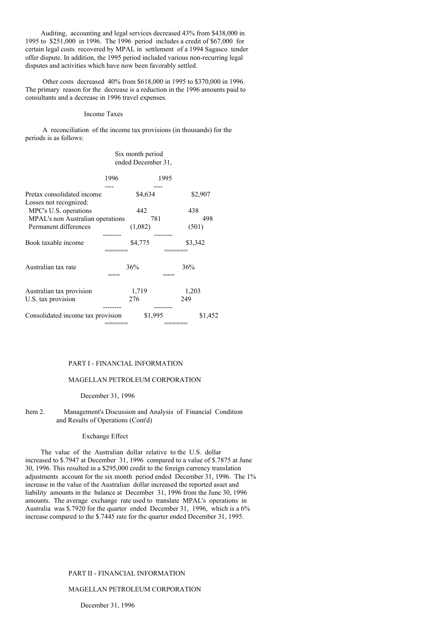Auditing, accounting and legal services decreased 43% from \$438,000 in 1995 to \$251,000 in 1996. The 1996 period includes a credit of \$67,000 for certain legal costs recovered by MPAL in settlement of a 1994 Sagasco tender offer dispute. In addition, the 1995 period included various non-recurring legal disputes and activities which have now been favorably settled.

Other costs decreased 40% from \$618,000 in 1995 to \$370,000 in 1996. The primary reason for the decrease is a reduction in the 1996 amounts paid to consultants and a decrease in 1996 travel expenses.

## Income Taxes

A reconciliation of the income tax provisions (in thousands) for the periods is as follows:

# Six month period ended December 31,

|                                                 | 1996 |              | 1995 |              |         |
|-------------------------------------------------|------|--------------|------|--------------|---------|
| Pretax consolidated income                      |      | \$4,634      |      | \$2,907      |         |
| Losses not recognized:<br>MPC's U.S. operations |      | 442          |      | 438          |         |
| MPAL's non Australian operations                |      | 781          |      |              | 498     |
| Permanent differences                           |      | (1,082)      |      | (501)        |         |
| Book taxable income                             |      | \$4,775      |      | \$3,342      |         |
| Australian tax rate                             |      | 36%          |      | 36%          |         |
| Australian tax provision<br>U.S. tax provision  |      | 1,719<br>276 |      | 1,203<br>249 |         |
| Consolidated income tax provision               |      | \$1,995      |      |              | \$1,452 |

#### PART I - FINANCIAL INFORMATION

#### MAGELLAN PETROLEUM CORPORATION

#### December 31, 1996

Item 2. Management's Discussion and Analysis of Financial Condition and Results of Operations (Cont'd)

#### Exchange Effect

The value of the Australian dollar relative to the U.S. dollar increased to \$.7947 at December 31, 1996 compared to a value of \$.7875 at June 30, 1996. This resulted in a \$295,000 credit to the foreign currency translation adjustments account for the six month period ended December 31, 1996. The 1% increase in the value of the Australian dollar increased the reported asset and liability amounts in the balance at December 31, 1996 from the June 30, 1996 amounts. The average exchange rate used to translate MPAL's operations in Australia was \$.7920 for the quarter ended December 31, 1996, which is a 6% increase compared to the \$.7445 rate for the quarter ended December 31, 1995.

# PART II - FINANCIAL INFORMATION

## MAGELLAN PETROLEUM CORPORATION

December 31, 1996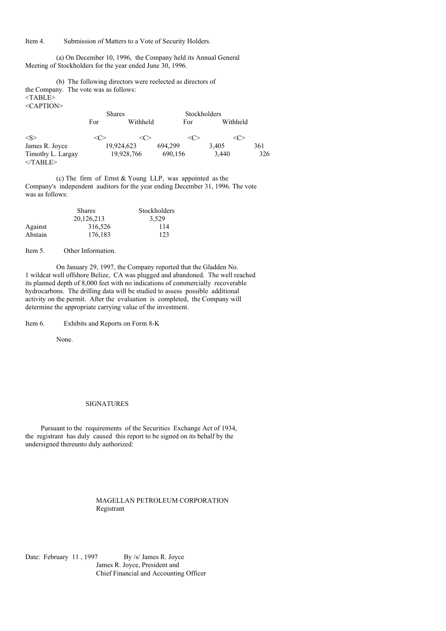Item 4. Submission of Matters to a Vote of Security Holders.

(a) On December 10, 1996, the Company held its Annual General Meeting of Stockholders for the year ended June 30, 1996.

(b) The following directors were reelected as directors of the Company. The vote was as follows:  $<$ TABLE $>$ <CAPTION>

|                                 | <b>Shares</b> |            | Stockholders |          |     |
|---------------------------------|---------------|------------|--------------|----------|-----|
|                                 | For           | Withheld   | For          | Withheld |     |
| $\langle S \rangle$             |               | <∈         | <∈           | <∈       |     |
| James R. Joyce                  |               | 19,924,623 | 694.299      | 3.405    | 361 |
| Timothy L. Largay<br>$<$ TABLE> |               | 19.928.766 | 690,156      | 3.440    | 326 |

(c) The firm of Ernst & Young LLP, was appointed as the Company's independent auditors for the year ending December 31, 1996. The vote was as follows:

|         | <b>Shares</b> | Stockholders |
|---------|---------------|--------------|
|         | 20.126.213    | 3.529        |
| Against | 316,526       | 114          |
| Abstain | 176,183       | 123          |

Item 5. Other Information.

On January 29, 1997, the Company reported that the Gladden No. 1 wildcat well offshore Belize, CA was plugged and abandoned. The well reached its planned depth of 8,000 feet with no indications of commercially recoverable hydrocarbons. The drilling data will be studied to assess possible additional activity on the permit. After the evaluation is completed, the Company will determine the appropriate carrying value of the investment.

Item 6. Exhibits and Reports on Form 8-K

None.

#### SIGNATURES

Pursuant to the requirements of the Securities Exchange Act of 1934, the registrant has duly caused this report to be signed on its behalf by the undersigned thereunto duly authorized:

> MAGELLAN PETROLEUM CORPORATION Registrant

Date: February 11, 1997 By /s/ James R. Joyce James R. Joyce, President and Chief Financial and Accounting Officer